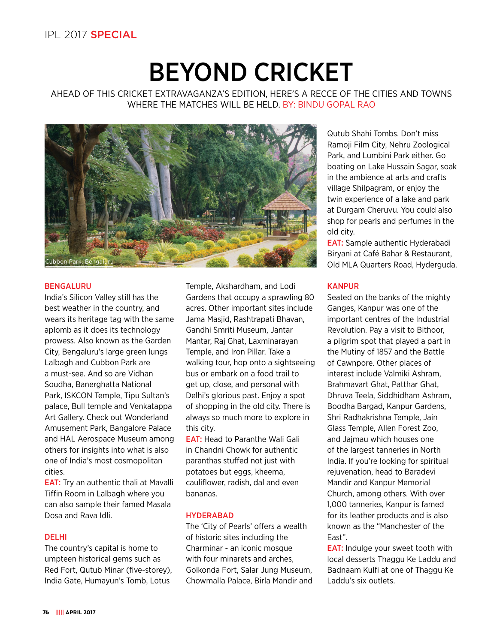# BEYOND CRICKET

AHEAD OF THIS CRICKET EXTRAVAGANZA'S EDITION, HERE'S A RECCE OF THE CITIES AND TOWNS WHERE THE MATCHES WILL BE HELD. BY: BINDU GOPAL RAO



# BENGALURU

India's Silicon Valley still has the best weather in the country, and wears its heritage tag with the same aplomb as it does its technology prowess. Also known as the Garden City, Bengaluru's large green lungs Lalbagh and Cubbon Park are a must-see. And so are Vidhan Soudha, Banerghatta National Park, ISKCON Temple, Tipu Sultan's palace, Bull temple and Venkatappa Art Gallery. Check out Wonderland Amusement Park, Bangalore Palace and HAL Aerospace Museum among others for insights into what is also one of India's most cosmopolitan cities.

EAT: Try an authentic thali at Mavalli Tiffin Room in Lalbagh where you can also sample their famed Masala Dosa and Rava Idli.

# DELHI

The country's capital is home to umpteen historical gems such as Red Fort, Qutub Minar (five-storey), India Gate, Humayun's Tomb, Lotus

Temple, Akshardham, and Lodi Gardens that occupy a sprawling 80 acres. Other important sites include Jama Masjid, Rashtrapati Bhavan, Gandhi Smriti Museum, Jantar Mantar, Raj Ghat, Laxminarayan Temple, and Iron Pillar. Take a walking tour, hop onto a sightseeing bus or embark on a food trail to get up, close, and personal with Delhi's glorious past. Enjoy a spot of shopping in the old city. There is always so much more to explore in this city.

EAT: Head to Paranthe Wali Gali in Chandni Chowk for authentic paranthas stuffed not just with potatoes but eggs, kheema, cauliflower, radish, dal and even bananas.

# **HYDERABAD**

The 'City of Pearls' offers a wealth of historic sites including the Charminar - an iconic mosque with four minarets and arches, Golkonda Fort, Salar Jung Museum, Chowmalla Palace, Birla Mandir and Qutub Shahi Tombs. Don't miss Ramoji Film City, Nehru Zoological Park, and Lumbini Park either. Go boating on Lake Hussain Sagar, soak in the ambience at arts and crafts village Shilpagram, or enjoy the twin experience of a lake and park at Durgam Cheruvu. You could also shop for pearls and perfumes in the old city.

EAT: Sample authentic Hyderabadi Biryani at Café Bahar & Restaurant, Old MLA Quarters Road, Hyderguda.

# **KANPUR**

Seated on the banks of the mighty Ganges, Kanpur was one of the important centres of the Industrial Revolution. Pay a visit to Bithoor, a pilgrim spot that played a part in the Mutiny of 1857 and the Battle of Cawnpore. Other places of interest include Valmiki Ashram, Brahmavart Ghat, Patthar Ghat, Dhruva Teela, Siddhidham Ashram, Boodha Bargad, Kanpur Gardens, Shri Radhakrishna Temple, Jain Glass Temple, Allen Forest Zoo, and Jajmau which houses one of the largest tanneries in North India. If you're looking for spiritual rejuvenation, head to Baradevi Mandir and Kanpur Memorial Church, among others. With over 1,000 tanneries, Kanpur is famed for its leather products and is also known as the "Manchester of the East".

EAT: Indulge your sweet tooth with local desserts Thaggu Ke Laddu and Badnaam Kulfi at one of Thaggu Ke Laddu's six outlets.